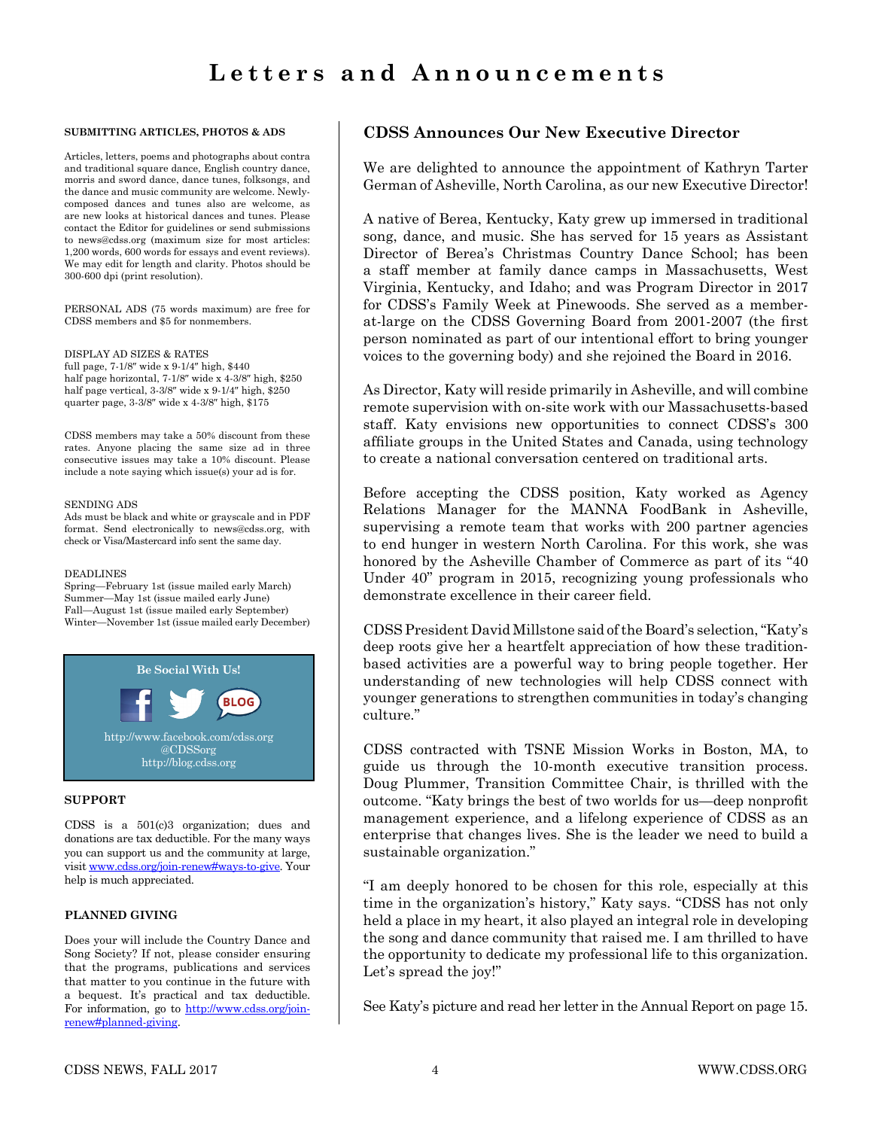## **SUBMITTING ARTICLES, PHOTOS & ADS**

Articles, letters, poems and photographs about contra and traditional square dance, English country dance, morris and sword dance, dance tunes, folksongs, and the dance and music community are welcome. Newlycomposed dances and tunes also are welcome, as are new looks at historical dances and tunes. Please contact the Editor for guidelines or send submissions to [news@cdss.org](mailto:news@cdss.org) (maximum size for most articles: 1,200 words, 600 words for essays and event reviews). We may edit for length and clarity. Photos should be 300-600 dpi (print resolution).

PERSONAL ADS (75 words maximum) are free for CDSS members and \$5 for nonmembers.

#### DISPLAY AD SIZES & RATES

full page, 7-1/8″ wide x 9-1/4″ high, \$440 half page horizontal, 7-1/8″ wide x 4-3/8″ high, \$250 half page vertical, 3-3/8″ wide x 9-1/4″ high, \$250 quarter page, 3-3/8″ wide x 4-3/8″ high, \$175

CDSS members may take a 50% discount from these rates. Anyone placing the same size ad in three consecutive issues may take a 10% discount. Please include a note saying which issue(s) your ad is for.

#### SENDING ADS

Ads must be black and white or grayscale and in PDF format. Send electronically to [news@cdss.org,](mailto:news@cdss.org) with check or Visa/Mastercard info sent the same day.

#### DEADLINES

Spring—February 1st (issue mailed early March) Summer—May 1st (issue mailed early June) Fall—August 1st (issue mailed early September) Winter—November 1st (issue mailed early December)



## **SUPPORT**

CDSS is a 501(c)3 organization; dues and donations are tax deductible. For the many ways you can support us and the community at large, visit [www.cdss.org/join-renew#ways-to-give](http://cdss.org/join). Your help is much appreciated.

### **PLANNED GIVING**

Does your will include the Country Dance and Song Society? If not, please consider ensuring that the programs, publications and services that matter to you continue in the future with a bequest. It's practical and tax deductible. For information, go to [http://www.cdss.org/join](http://cdss.org/join)[renew#planned-giving](http://cdss.org/join).

## **CDSS Announces Our New Executive Director**

We are delighted to announce the appointment of Kathryn Tarter German of Asheville, North Carolina, as our new Executive Director!

A native of Berea, Kentucky, Katy grew up immersed in traditional song, dance, and music. She has served for 15 years as Assistant Director of Berea's Christmas Country Dance School; has been a staff member at family dance camps in Massachusetts, West Virginia, Kentucky, and Idaho; and was Program Director in 2017 for CDSS's Family Week at Pinewoods. She served as a memberat-large on the CDSS Governing Board from 2001-2007 (the first person nominated as part of our intentional effort to bring younger voices to the governing body) and she rejoined the Board in 2016.

As Director, Katy will reside primarily in Asheville, and will combine remote supervision with on-site work with our Massachusetts-based staff. Katy envisions new opportunities to connect CDSS's 300 affiliate groups in the United States and Canada, using technology to create a national conversation centered on traditional arts.

Before accepting the CDSS position, Katy worked as Agency Relations Manager for the MANNA FoodBank in Asheville, supervising a remote team that works with 200 partner agencies to end hunger in western North Carolina. For this work, she was honored by the Asheville Chamber of Commerce as part of its "40 Under 40" program in 2015, recognizing young professionals who demonstrate excellence in their career field.

CDSS President David Millstone said of the Board's selection, "Katy's deep roots give her a heartfelt appreciation of how these traditionbased activities are a powerful way to bring people together. Her understanding of new technologies will help CDSS connect with younger generations to strengthen communities in today's changing culture."

CDSS contracted with TSNE Mission Works in Boston, MA, to guide us through the 10-month executive transition process. Doug Plummer, Transition Committee Chair, is thrilled with the outcome. "Katy brings the best of two worlds for us—deep nonprofit management experience, and a lifelong experience of CDSS as an enterprise that changes lives. She is the leader we need to build a sustainable organization."

"I am deeply honored to be chosen for this role, especially at this time in the organization's history," Katy says. "CDSS has not only held a place in my heart, it also played an integral role in developing the song and dance community that raised me. I am thrilled to have the opportunity to dedicate my professional life to this organization. Let's spread the joy!"

See Katy's picture and read her letter in the Annual Report on page 15.